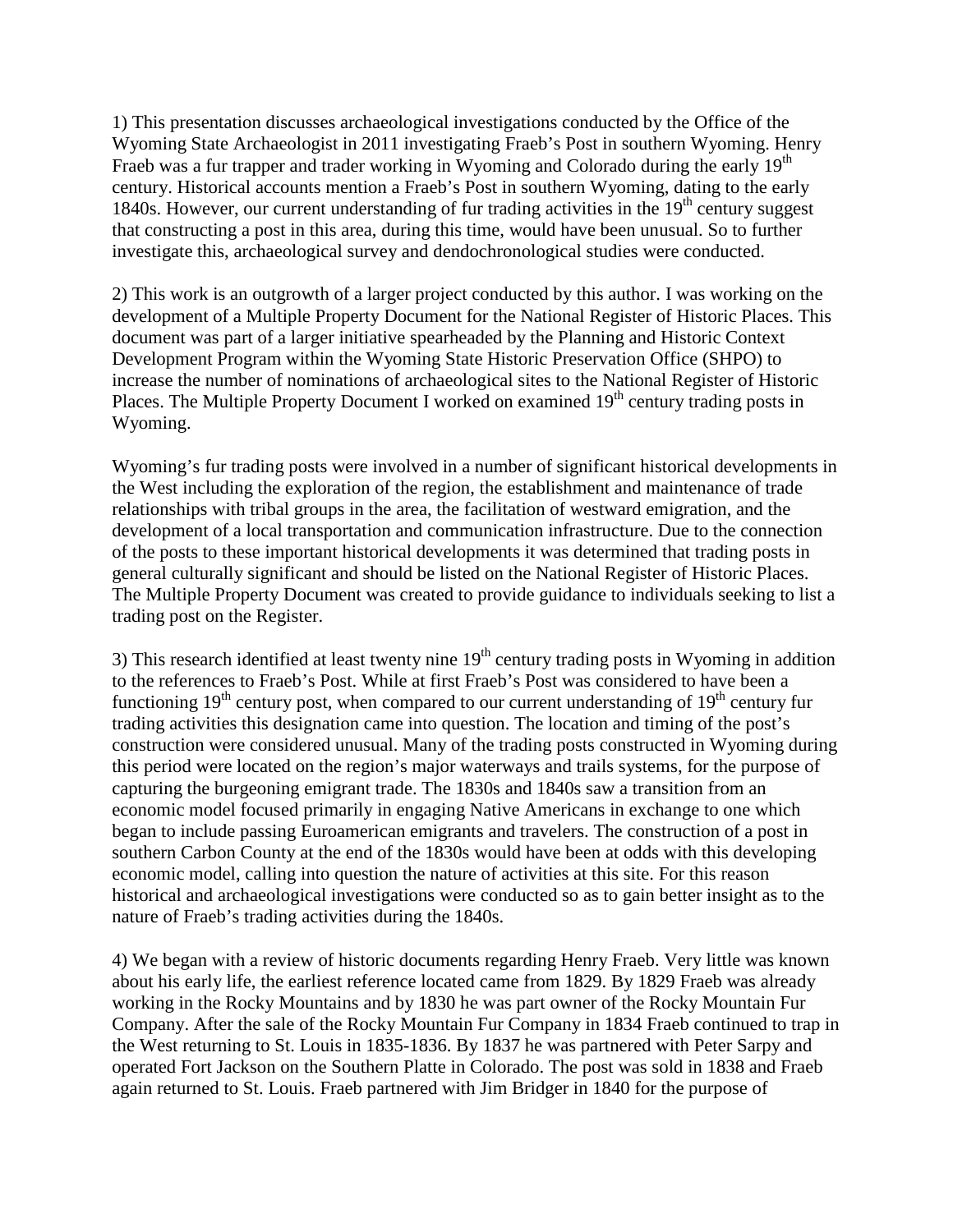1) This presentation discusses archaeological investigations conducted by the Office of the Wyoming State Archaeologist in 2011 investigating Fraeb's Post in southern Wyoming. Henry Fraeb was a fur trapper and trader working in Wyoming and Colorado during the early 19<sup>th</sup> century. Historical accounts mention a Fraeb's Post in southern Wyoming, dating to the early 1840s. However, our current understanding of fur trading activities in the  $19<sup>th</sup>$  century suggest that constructing a post in this area, during this time, would have been unusual. So to further investigate this, archaeological survey and dendochronological studies were conducted.

2) This work is an outgrowth of a larger project conducted by this author. I was working on the development of a Multiple Property Document for the National Register of Historic Places. This document was part of a larger initiative spearheaded by the Planning and Historic Context Development Program within the Wyoming State Historic Preservation Office (SHPO) to increase the number of nominations of archaeological sites to the National Register of Historic Places. The Multiple Property Document I worked on examined 19<sup>th</sup> century trading posts in Wyoming.

Wyoming's fur trading posts were involved in a number of significant historical developments in the West including the exploration of the region, the establishment and maintenance of trade relationships with tribal groups in the area, the facilitation of westward emigration, and the development of a local transportation and communication infrastructure. Due to the connection of the posts to these important historical developments it was determined that trading posts in general culturally significant and should be listed on the National Register of Historic Places. The Multiple Property Document was created to provide guidance to individuals seeking to list a trading post on the Register.

3) This research identified at least twenty nine  $19<sup>th</sup>$  century trading posts in Wyoming in addition to the references to Fraeb's Post. While at first Fraeb's Post was considered to have been a functioning  $19<sup>th</sup>$  century post, when compared to our current understanding of  $19<sup>th</sup>$  century fur trading activities this designation came into question. The location and timing of the post's construction were considered unusual. Many of the trading posts constructed in Wyoming during this period were located on the region's major waterways and trails systems, for the purpose of capturing the burgeoning emigrant trade. The 1830s and 1840s saw a transition from an economic model focused primarily in engaging Native Americans in exchange to one which began to include passing Euroamerican emigrants and travelers. The construction of a post in southern Carbon County at the end of the 1830s would have been at odds with this developing economic model, calling into question the nature of activities at this site. For this reason historical and archaeological investigations were conducted so as to gain better insight as to the nature of Fraeb's trading activities during the 1840s.

4) We began with a review of historic documents regarding Henry Fraeb. Very little was known about his early life, the earliest reference located came from 1829. By 1829 Fraeb was already working in the Rocky Mountains and by 1830 he was part owner of the Rocky Mountain Fur Company. After the sale of the Rocky Mountain Fur Company in 1834 Fraeb continued to trap in the West returning to St. Louis in 1835-1836. By 1837 he was partnered with Peter Sarpy and operated Fort Jackson on the Southern Platte in Colorado. The post was sold in 1838 and Fraeb again returned to St. Louis. Fraeb partnered with Jim Bridger in 1840 for the purpose of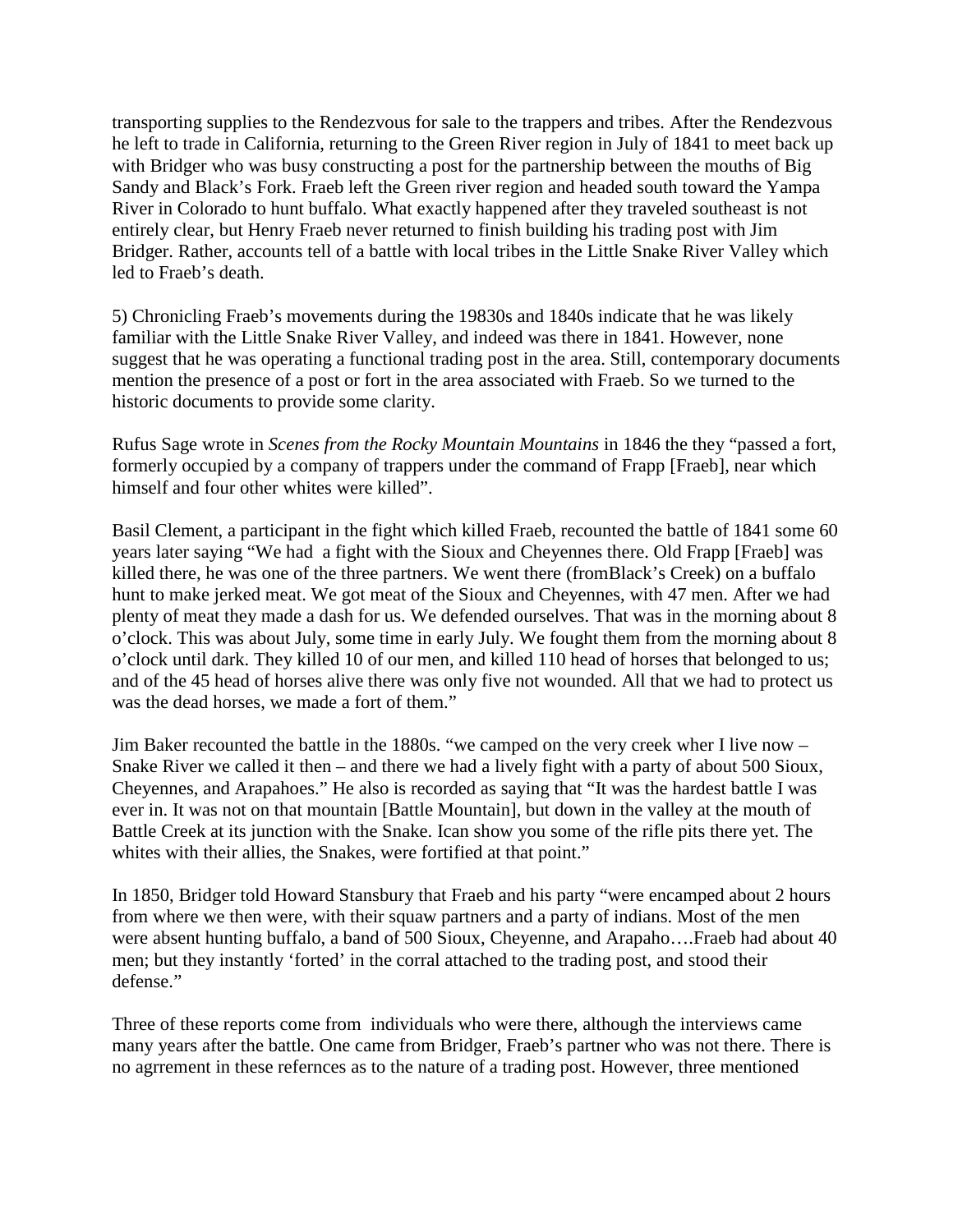transporting supplies to the Rendezvous for sale to the trappers and tribes. After the Rendezvous he left to trade in California, returning to the Green River region in July of 1841 to meet back up with Bridger who was busy constructing a post for the partnership between the mouths of Big Sandy and Black's Fork. Fraeb left the Green river region and headed south toward the Yampa River in Colorado to hunt buffalo. What exactly happened after they traveled southeast is not entirely clear, but Henry Fraeb never returned to finish building his trading post with Jim Bridger. Rather, accounts tell of a battle with local tribes in the Little Snake River Valley which led to Fraeb's death.

5) Chronicling Fraeb's movements during the 19830s and 1840s indicate that he was likely familiar with the Little Snake River Valley, and indeed was there in 1841. However, none suggest that he was operating a functional trading post in the area. Still, contemporary documents mention the presence of a post or fort in the area associated with Fraeb. So we turned to the historic documents to provide some clarity.

Rufus Sage wrote in *Scenes from the Rocky Mountain Mountains* in 1846 the they "passed a fort, formerly occupied by a company of trappers under the command of Frapp [Fraeb], near which himself and four other whites were killed".

Basil Clement, a participant in the fight which killed Fraeb, recounted the battle of 1841 some 60 years later saying "We had a fight with the Sioux and Cheyennes there. Old Frapp [Fraeb] was killed there, he was one of the three partners. We went there (fromBlack's Creek) on a buffalo hunt to make jerked meat. We got meat of the Sioux and Cheyennes, with 47 men. After we had plenty of meat they made a dash for us. We defended ourselves. That was in the morning about 8 o'clock. This was about July, some time in early July. We fought them from the morning about 8 o'clock until dark. They killed 10 of our men, and killed 110 head of horses that belonged to us; and of the 45 head of horses alive there was only five not wounded. All that we had to protect us was the dead horses, we made a fort of them."

Jim Baker recounted the battle in the 1880s. "we camped on the very creek wher I live now – Snake River we called it then – and there we had a lively fight with a party of about 500 Sioux, Cheyennes, and Arapahoes." He also is recorded as saying that "It was the hardest battle I was ever in. It was not on that mountain [Battle Mountain], but down in the valley at the mouth of Battle Creek at its junction with the Snake. Ican show you some of the rifle pits there yet. The whites with their allies, the Snakes, were fortified at that point."

In 1850, Bridger told Howard Stansbury that Fraeb and his party "were encamped about 2 hours from where we then were, with their squaw partners and a party of indians. Most of the men were absent hunting buffalo, a band of 500 Sioux, Cheyenne, and Arapaho….Fraeb had about 40 men; but they instantly 'forted' in the corral attached to the trading post, and stood their defense."

Three of these reports come from individuals who were there, although the interviews came many years after the battle. One came from Bridger, Fraeb's partner who was not there. There is no agrrement in these refernces as to the nature of a trading post. However, three mentioned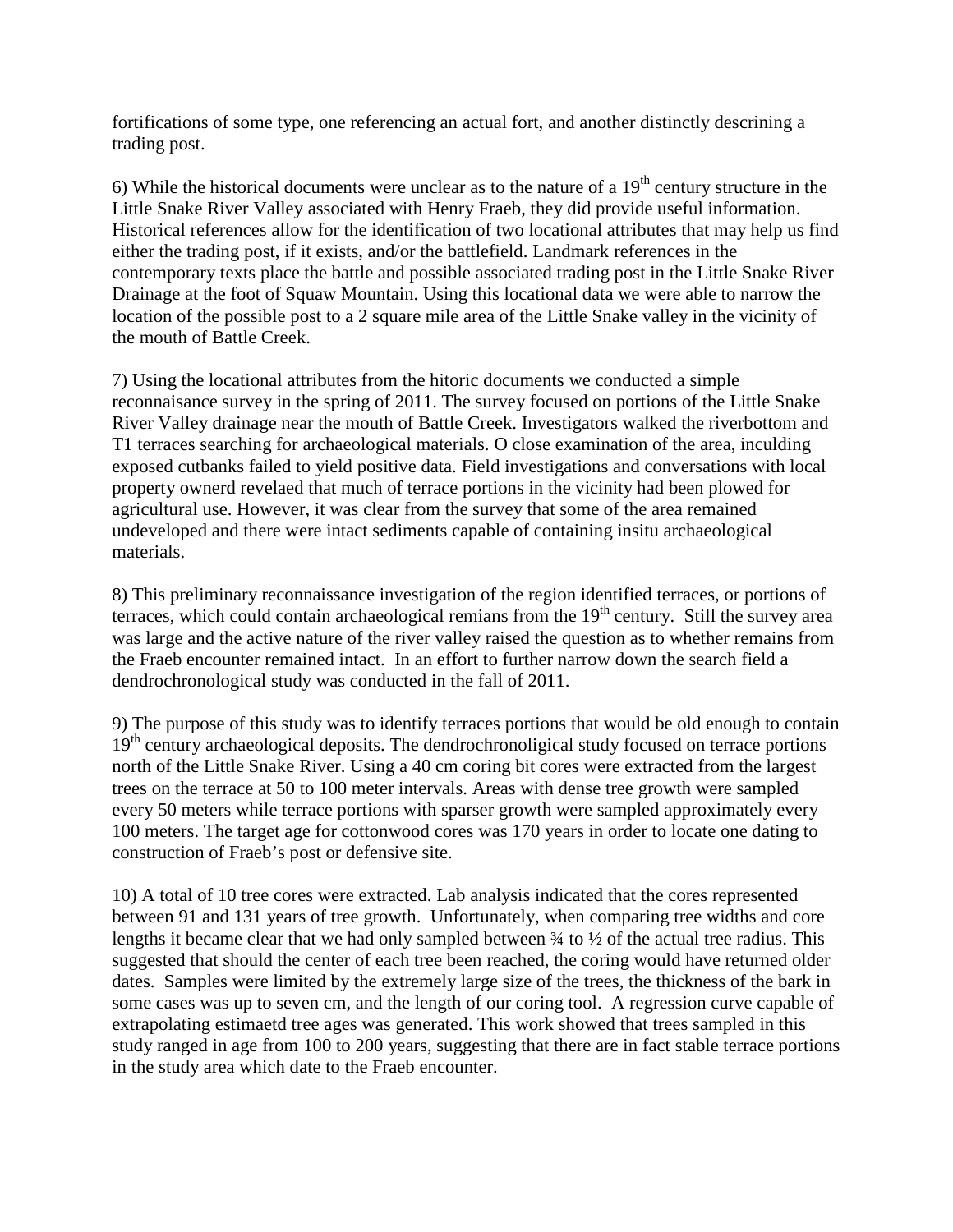fortifications of some type, one referencing an actual fort, and another distinctly descrining a trading post.

6) While the historical documents were unclear as to the nature of a  $19<sup>th</sup>$  century structure in the Little Snake River Valley associated with Henry Fraeb, they did provide useful information. Historical references allow for the identification of two locational attributes that may help us find either the trading post, if it exists, and/or the battlefield. Landmark references in the contemporary texts place the battle and possible associated trading post in the Little Snake River Drainage at the foot of Squaw Mountain. Using this locational data we were able to narrow the location of the possible post to a 2 square mile area of the Little Snake valley in the vicinity of the mouth of Battle Creek.

7) Using the locational attributes from the hitoric documents we conducted a simple reconnaisance survey in the spring of 2011. The survey focused on portions of the Little Snake River Valley drainage near the mouth of Battle Creek. Investigators walked the riverbottom and T1 terraces searching for archaeological materials. O close examination of the area, inculding exposed cutbanks failed to yield positive data. Field investigations and conversations with local property ownerd revelaed that much of terrace portions in the vicinity had been plowed for agricultural use. However, it was clear from the survey that some of the area remained undeveloped and there were intact sediments capable of containing insitu archaeological materials.

8) This preliminary reconnaissance investigation of the region identified terraces, or portions of terraces, which could contain archaeological remians from the 19<sup>th</sup> century. Still the survey area was large and the active nature of the river valley raised the question as to whether remains from the Fraeb encounter remained intact. In an effort to further narrow down the search field a dendrochronological study was conducted in the fall of 2011.

9) The purpose of this study was to identify terraces portions that would be old enough to contain 19<sup>th</sup> century archaeological deposits. The dendrochronoligical study focused on terrace portions north of the Little Snake River. Using a 40 cm coring bit cores were extracted from the largest trees on the terrace at 50 to 100 meter intervals. Areas with dense tree growth were sampled every 50 meters while terrace portions with sparser growth were sampled approximately every 100 meters. The target age for cottonwood cores was 170 years in order to locate one dating to construction of Fraeb's post or defensive site.

10) A total of 10 tree cores were extracted. Lab analysis indicated that the cores represented between 91 and 131 years of tree growth. Unfortunately, when comparing tree widths and core lengths it became clear that we had only sampled between ¾ to ½ of the actual tree radius. This suggested that should the center of each tree been reached, the coring would have returned older dates. Samples were limited by the extremely large size of the trees, the thickness of the bark in some cases was up to seven cm, and the length of our coring tool. A regression curve capable of extrapolating estimaetd tree ages was generated. This work showed that trees sampled in this study ranged in age from 100 to 200 years, suggesting that there are in fact stable terrace portions in the study area which date to the Fraeb encounter.